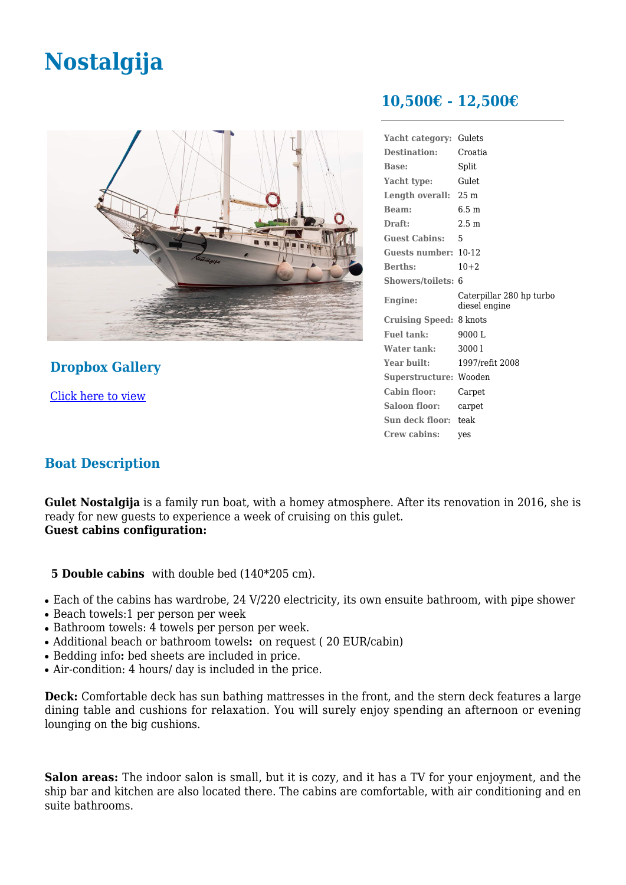# **Nostalgija**



**Dropbox Gallery**

[Click here to view](https://www.dropbox.com/sh/unfyyyi34x9dv9z/AAB_DzrDZyI6VcdeDqnAyItha/best-web-photos-Nostalgija?dl=0)

# **10,500€ - 12,500€**

| Yacht category: Gulets         |                                           |
|--------------------------------|-------------------------------------------|
| <b>Destination:</b>            | Croatia                                   |
| Base:                          | Split                                     |
| Yacht type:                    | Gulet.                                    |
| Length overall: 25 m           |                                           |
| Beam:                          | 6.5 m                                     |
| Draft:                         | $2.5 \text{ m}$                           |
| <b>Guest Cabins:</b><br>- 5    |                                           |
| Guests number: 10-12           |                                           |
| <b>Berths:</b>                 | $10+2$                                    |
| Showers/toilets: 6             |                                           |
| Engine:                        | Caterpillar 280 hp turbo<br>diesel engine |
| <b>Cruising Speed: 8 knots</b> |                                           |
| <b>Fuel tank:</b>              | 9000 L                                    |
| Water tank:                    | 30001                                     |
| Year built:                    | 1997/refit 2008                           |
| Superstructure: Wooden         |                                           |
| <b>Cabin floor:</b>            | Carpet                                    |
| Saloon floor:                  | carpet                                    |
| Sun deck floor: teak           |                                           |
| Crew cabins:                   | yes                                       |

### **Boat Description**

**Gulet Nostalgija** is a family run boat, with a homey atmosphere. After its renovation in 2016, she is ready for new guests to experience a week of cruising on this gulet. **Guest cabins configuration:**

 **5 Double cabins** with double bed (140\*205 cm).

- Each of the cabins has wardrobe, 24 V/220 electricity, its own ensuite bathroom, with pipe shower
- Beach towels:1 per person per week
- $\bullet$  Bathroom towels: 4 towels per person per week.
- Additional beach or bathroom towels: on request (20 EUR/cabin)
- Bedding info**:** bed sheets are included in price.
- Air-condition: 4 hours/ day is included in the price.

**Deck:** Comfortable deck has sun bathing mattresses in the front, and the stern deck features a large dining table and cushions for relaxation. You will surely enjoy spending an afternoon or evening lounging on the big cushions.

**Salon areas:** The indoor salon is small, but it is cozy, and it has a TV for your enjoyment, and the ship bar and kitchen are also located there. The cabins are comfortable, with air conditioning and en suite bathrooms.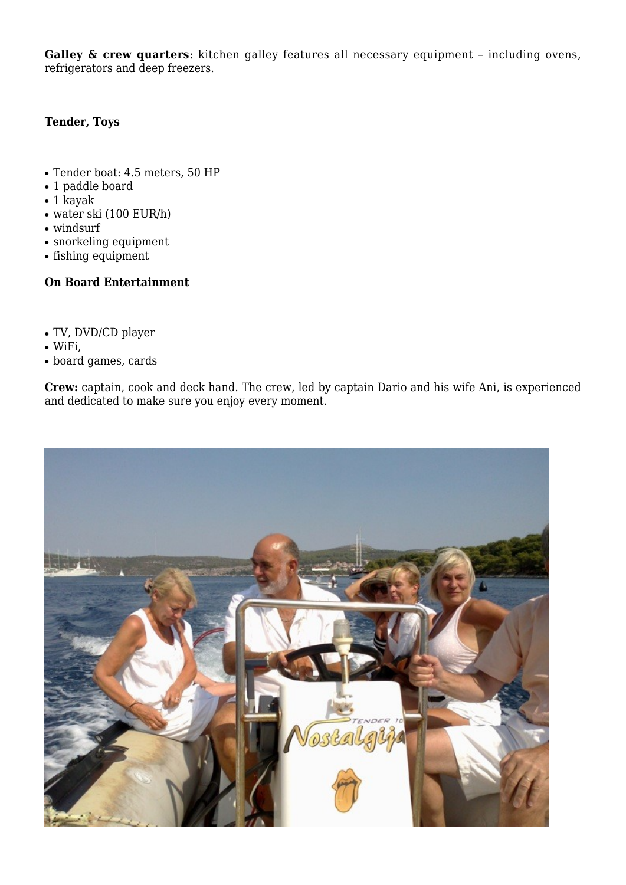**Galley & crew quarters**: kitchen galley features all necessary equipment - including ovens, refrigerators and deep freezers.

#### **Tender, Toys**

- Tender boat: 4.5 meters, 50 HP
- 1 paddle board
- 1 kayak
- $\bullet$  water ski (100 EUR/h)
- windsurf
- snorkeling equipment
- fishing equipment

#### **On Board Entertainment**

- TV, DVD/CD player
- $\bullet$  WiFi,
- board games, cards

**Crew:** captain, cook and deck hand. The crew, led by captain Dario and his wife Ani, is experienced and dedicated to make sure you enjoy every moment.